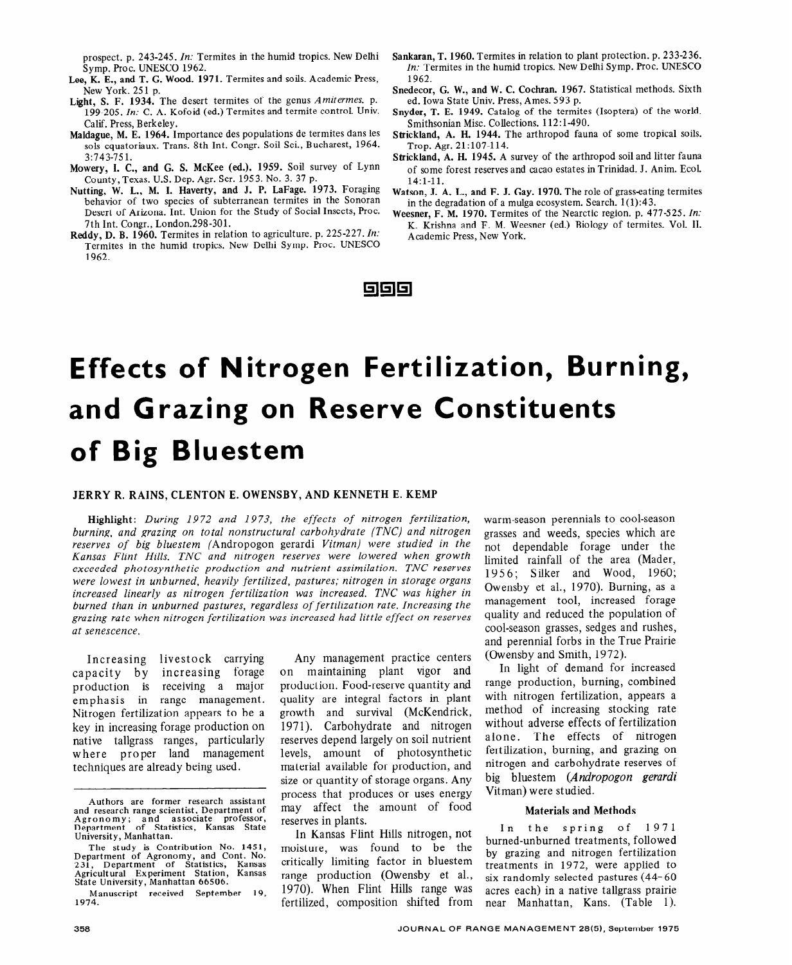# **Effects of Nitrogen Fertilization, Burning, and Grazing on Reserve Constituents of Big Bluestem**

### JERRY R. RAINS, CLENTON E. OWENSBY, AND KENNETH E. KEMP

Highlight: *During 1972 and 1973, the effects of nitrogen fertilization, burning, and grazing on total nonstructural carbohydrate (TNC) and nitrogen reserves of big bluestem* (Andropogon gerardi *Vitman) were studied in the Kansas Flint Hills. TNC and nitrogen reserves were lowered when growth exceeded photosynthetic production and nutrient assimilation. TNC reserves were lowest in unburned, heavily fertilized, pastures; nitrogen in storage organs*  increased linearly as nitrogen fertilization was increased. TNC was higher in *burned than in unburned pastures, regardless of fertilization rate. Increasing the grazing rate when nitrogen fertilization was increased had little effect on reserves at senescence.* 

Increasing livestock carrying capacity by increasing forage production is receiving a major emphasis in range management. Nitrogen fertilization appears to be a key in increasing forage production on native tallgrass ranges, particularly where proper land management techniques are already being used.

Manuscript received September 19, 1974.

Any management practice centers on maintaining plant vigor and production. Food-reserve quantity and quality are integral factors in plant growth and survival (McKendrick, 1971). Carbohydrate and nitrogen reserves depend largely on soil nutrient levels, amount of photosynthetic material available for production, and size or quantity of storage organs. Any process that produces or uses energy may affect the amount of food reserves in plants.

In Kansas Flint Hills nitrogen, not moisture, was found to be the critically limiting factor in bluestem range production (Owensby et al., 1970). When Flint Hills range was fertilized, composition shifted from

warm-season perennials to cool-season grasses and weeds, species which are not dependable forage under the limited rainfall of the area (Mader, 1956; Silker and Wood, 1960; Owensby et al., 1970). Burning, as a management tool, increased forage quality and reduced the population of cool-season grasses, sedges and rushes, and perennial forbs in the True Prairie (Owensby and Smith, 1972).

In light of demand for increased range production, burning, combined with nitrogen fertilization, appears a method of increasing stocking rate without adverse effects of fertilization alone. The effects of nitrogen fertilization, burning, and grazing on nitrogen and carbohydrate reserves of big bluestem *(Andropogon gerardi*  Vitman) were studied.

#### Materials and Methods

In the spring of 1971 burned-unburned treatments, followed by grazing and nitrogen fertilization treatments in 1972, were applied to six randomly selected pastures (44- 60 acres each) in a native tallgrass prairie near Manhattan, Kans. (Table 1).

Authors are former research assistant and research range scientist, Department of Agronomy; and associate professor, Department of Statistics, Kansas State University, Manhattan.

The study is Contribution No. 1451, Department of Agronomy, and Cont. No. 231, Department of Statistics, Kansas Agricultural Experiment Station, Kansas State University, Manhattan 66506.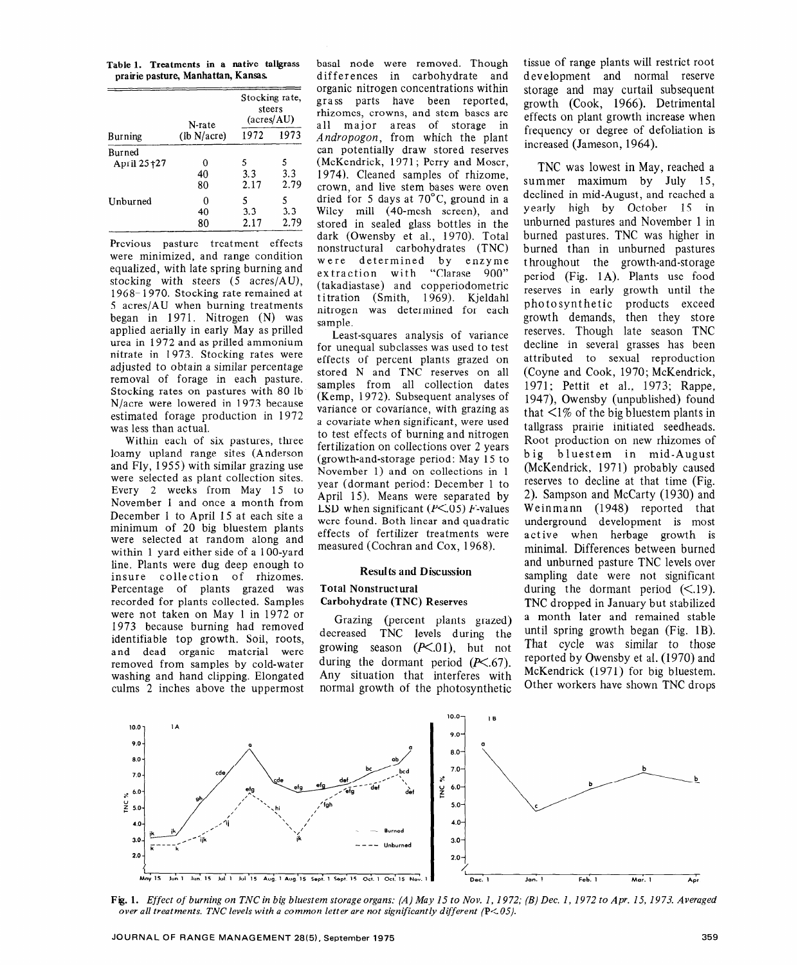**Table 1. Treatments in a native** tallgrass **prairie pasture, Manhattan, Kansas** 

| Burning     | N-rate<br>(lb N/acre) | Stocking rate,<br>steers<br>$(\text{acres} / \text{AU})$ |      |
|-------------|-----------------------|----------------------------------------------------------|------|
|             |                       | 1972                                                     | 1973 |
| Burned      |                       |                                                          |      |
| April 25+27 |                       | 5                                                        | 5    |
|             | 40                    | 3.3                                                      | 3.3  |
|             | 80                    | 2.17                                                     | 2.79 |
| Unburned    | 0                     | 5                                                        | 5    |
|             | 40                    | 3.3                                                      | 3.3  |
|             | 80                    | 2.17                                                     | 2.79 |

Previous pasture treatment effects were minimized, and range condition equalized, with late spring burning and stocking with steers (5 acres/AU), 1968- 1970. Stocking rate remained at 5 acres/AU when burning treatments began in 1971. Nitrogen (N) was applied aerially in early May as prilled urea in 1972 and as prilled ammonium nitrate in 1973. Stocking rates were adjusted to obtain a similar percentage removal of forage in each pasture. Stocking rates on pastures with 80 lb N/acre were lowered in 1973 because estimated forage production in 1972 was less than actual.

Within each of six pastures, three loamy upland range sites (Anderson and Fly, 1955) with similar grazing use were selected as plant collection sites. Every 2 weeks from May 15 to November 1 and once a month from December 1 to April 15 at each site a minimum of 20 big bluestem plants were selected at random along and within 1 yard either side of a 100-yard line. Plants were dug deep enough to insure collection of rhizomes. Percentage of plants grazed was recorded for plants collected. Samples were not taken on May 1 in 1972 or 1973 because burning had removed identifiable top growth. Soil, roots, and dead organic material were removed from samples by cold-water washing and hand clipping. Elongated culms 2 inches above the uppermost basal node were removed. Though differences in carbohydrate and organic nitrogen concentrations within grass parts have been reported, rhizomes, crowns, and stem bases are all major areas of storage in *Andropogon,* from which the plant can potentially draw stored reserves (McKendrick, 1971; Perry and Moser, 1974). Cleaned samples of rhizome, crown, and live stem bases were oven dried for 5 days at  $70^{\circ}$ C, ground in a Wiley mill (40-mesh screen), and stored in sealed glass bottles in the dark (Owensby et al., 1970). Total nonstructural carbohydrates (TNC) were determined by enzyme extraction with "Clarase 900" (takadiastase) and copperiodometric titration (Smith, 1969). Kjeldahl nitrogen was determined for each sample.

Least-squares analysis of variance for unequal subclasses was used to test effects of percent plants grazed on stored N and TNC reserves on all samples from all collection dates (Kemp, 1972). Subsequent analyses of variance or covariance, with grazing as a covariate when significant, were used to test effects of burning and nitrogen fertilization on collections over 2 years (growth-and-storage period: May 15 to November 1) and on collections in 1 year (dormant period: December 1 to April 15). Means were separated by LSD when significant ( $P \le 0.05$ ) F-values were found. Both linear and quadratic effects of fertilizer treatments were measured (Cochran and Cox, 1968).

#### Results and Discussion

#### Total Nonstructural Carbohydrate (TNC) Reserves

Grazing (percent plants grazed) decreased TNC levels during the growing season  $(P<.01)$ , but not during the dormant period  $(P<sub>0</sub>, 67)$ . Any situation that interferes with normal growth of the photosynthetic tissue of range plants will restrict root development and normal reserve storage and may curtail subsequent growth (Cook, 1966). Detrimental effects on plant growth increase when frequency or degree of defoliation is increased (Jameson, 1964).

TNC was lowest in May, reached a summer maximum by July 15, declined in mid-August, and reached a yearly high by October 15 in unburned pastures and November 1 in burned pastures. TNC was higher in burned than in unburned pastures throughout the growth-and-storage period (Fig. 1A). Plants use food reserves in early growth until the photosynthetic products exceed growth demands, then they store reserves. Though late season TNC decline in several grasses has been attributed to sexual reproduction (Coyne and Cook, 1970; McKendrick, 1971; Pettit et al., 1973; Rappe, 1947), Owensby (unpublished) found that  $\leq$ 1% of the big bluestem plants in tallgrass prairie initiated seedheads. Root production on new rhizomes of big bluestem in mid-August (McKendrick, 1971) probably caused reserves to decline at that time (Fig. 2). Sampson and McCarty (1930) and Weinmann (1948) reported that underground development is most active when herbage growth is minimal. Differences between burned and unburned pasture TNC levels over sampling date were not significant during the dormant period  $(\leq 19)$ . TNC dropped in January but stabilized a month later and remained stable until spring growth began (Fig. 1B). That cycle was similar to those reported by Owensby et al. (1970) and McKendrick (1971) for big bluestem. Other workers have shown TNC drops



**Fig. 1.** *Effect of burning on TNC in big bluestem storage organs: (A) May 15 to Nov. I, 1972; (B) Dec. I, 1972 to Apr. 15, 1973. Averaged over all treatments. TNC levels with a common letter are not significantly different (PCO5).*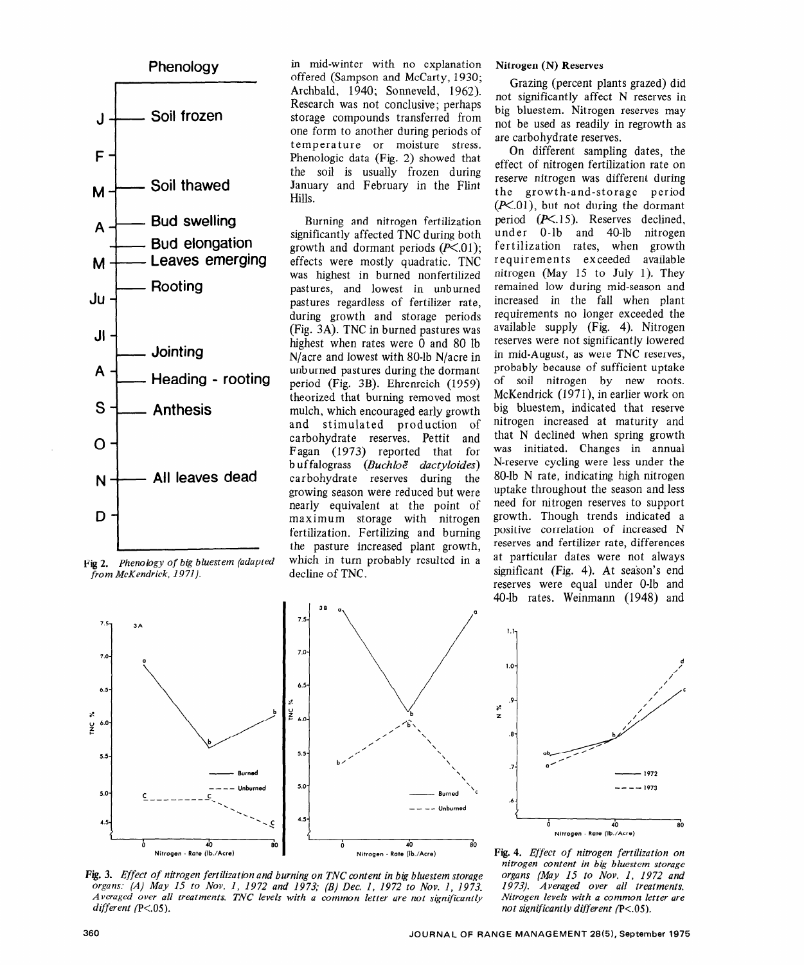

*Fig 2. Phenology of big bluestem (adapted from McKendrick, 1971).* 

in mid-winter with no explanation offered (Sampson and McCarty, 1930; Archbald, 1940; Sonneveld, 1962). Research was not conclusive; perhaps storage compounds transferred from one form to another during periods of temperature or moisture stress. Phenologic data (Fig. 2) showed that the soil is usually frozen during January and February in the Flint Hills.

Burning and nitrogen fertilization significantly affected TNC during both growth and dormant periods  $(P<.01)$ ; effects were mostly quadratic. TNC was highest in burned nonfertilized pastures, and lowest in unburned pastures regardless of fertilizer rate, during growth and storage periods (Fig. 3A). TNC in burned pastures was highest when rates were 0 and 80 lb N/acre and lowest with 80-lb N/acre in unburned pastures during the dormant period (Fig. 3B). Ehrenreich (1959) theorized that burning removed most mulch, which encouraged early growth and stimulated production of carbohydrate reserves. Pettit and Fagan (1973) reported that for b u f falograss *(Buchloe" dactyloides)*  carbohydrate reserves during the growing season were reduced but were nearly equivalent at the point of maximum storage with nitrogen fertilization. Fertilizing and burning the pasture increased plant growth, which in turn probably resulted in a decline of TNC.



Grazing (percent plants grazed) did not significantly affect N reserves in big bluestem. Nitrogen reserves may not be used as readily in regrowth as are carbohydrate reserves.

On different sampling dates, the effect of nitrogen fertilization rate on reserve nitrogen was different during the growth-and-storage period  $(K.01)$ , but not during the dormant period  $(P<.15)$ . Reserves declined, under O-lb and 40-lb nitrogen fertilization rates, when growth requirements exceeded available nitrogen (May 15 to July 1). They remained low during mid-season and increased in the fall when plant requirements no longer exceeded the available supply (Fig. 4). Nitrogen reserves were not significantly lowered in mid-August, as were TNC reserves, probably because of sufficient uptake of soil nitrogen by new roots. McKendrick (1971), in earlier work on big bluestem, indicated that reserve nitrogen increased at maturity and that N declined when spring growth was initiated. Changes in annual N-reserve cycling were less under the 80-lb N rate, indicating high nitrogen uptake throughout the season and less need for nitrogen reserves to support growth. Though trends indicated a positive correlation of increased N reserves and fertilizer rate, differences at particular dates were not always significant (Fig. 4). At season's end reserves were equal under O-lb and 40-lb rates. Weinmann (1948) and



**1 d l.O- / / .9- .a- .7-**  1972 ---- .6 i A0 Nitrogen - Rate (Ib./Acre)

**Fig. 3.** *Effect of nitrogen fertilization and burning on TNC content in big bluestem storage organs: (A) May 15 to Nov. I, 1972 and 1973; (B) Dec. I, 1972 to Nov. I, 1973. Averaged over all treatments. TNC levels with a common letter are not significantly different* (P<.05).

**Fig. 4.** *Effect of nitrogen fertilization on nitrogen content in big bluestem storage organs [May 15 to Nov. I, I972 and 19 73). Averaged over all treatments. Nitrogen levels with a common letter are not significantly different (P<.05).* 

1.1

**s z**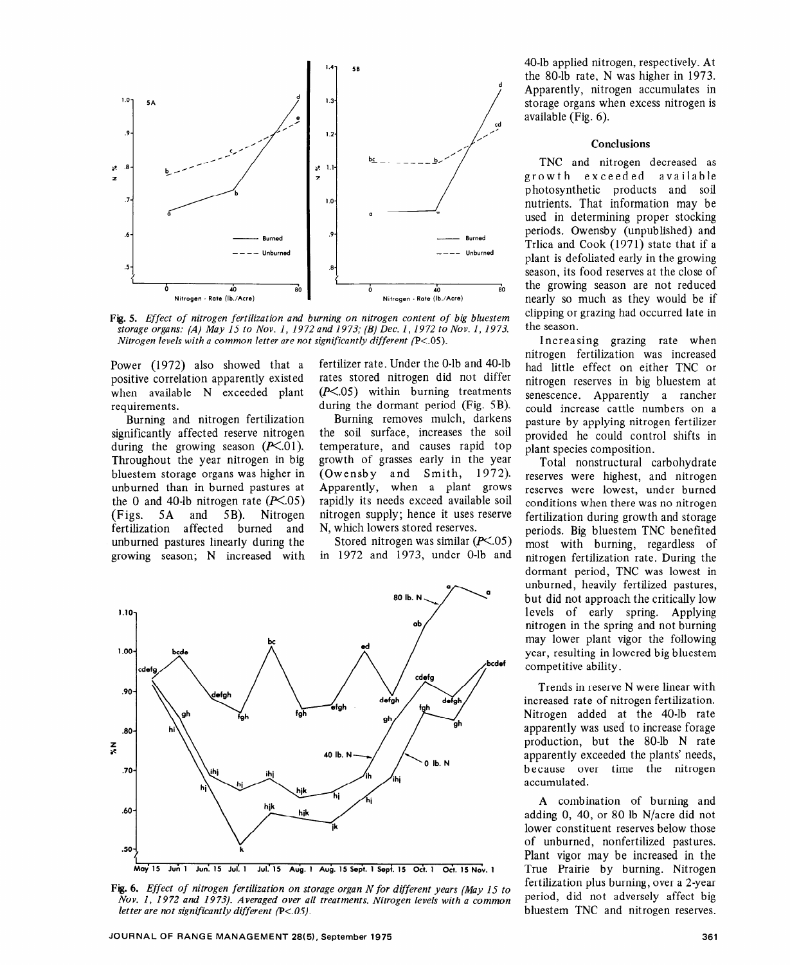

*Fig. 5. Effect of nitrogen fertilization and burning on nitrogen content of big bluestem storage organs: (A) May I5 to Nov. I, I9 72 and I9 73; (B) Dec. I, I9 72 to Nov. I, I9 73. Nitrogen levels with a common letter are not significantly different (P<.05).* 

Power (1972) also showed that a positive correlation apparently existed when available N exceeded plant requirements.

Burning and nitrogen fertilization significantly affected reserve nitrogen during the growing season  $(P<.01)$ . Throughout the year nitrogen in big bluestem storage organs was higher in unburned than in burned pastures at the 0 and 40-lb nitrogen rate  $(P<.05)$ (Figs. 5A and SB). Nitrogen fertilization affected burned and unburned pastures linearly during the growing season; N increased with fertilizer rate. Under the O-lb and 40-lb rates stored nitrogen did not differ  $(P<.05)$  within burning treatments during the dormant period (Fig. 5B).

Burning removes mulch, darkens the soil surface, increases the soil temperature, and causes rapid top growth of grasses early in the year (Owensby and Smith, 1972). Apparently, when a plant grows rapidly its needs exceed available soil nitrogen supply; hence it uses reserve N, which lowers stored reserves.

Stored nitrogen was similar  $(F<.05)$ in 1972 and 1973, under O-lb and



**Fig. 6.** *Effect of nitrogen fertilization on storage organ N for different years (May 15 to Nov. I, I972 and 19 73). Averaged over all treatments. Nitrogen levels with a common letter are not significantly different (P<.05).* 

40-lb applied nitrogen, respectively. At the 80-lb rate, N was higher in 1973. Apparently, nitrogen accumulates in storage organs when excess nitrogen is available (Fig. 6).

## **Conclusions**

TNC and nitrogen decreased as growth exceeded available photosynthetic products and soil nutrients. That information may be used in determining proper stocking periods. Owensby (unpublished) and Trlica and Cook (1971) state that if a plant is defoliated early in the growing season, its food reserves at the close of the growing season are not reduced nearly so much as they would be if clipping or grazing had occurred late in the season.

Increasing grazing rate when nitrogen fertilization was increased had little effect on either TNC or nitrogen reserves in big bluestem at senescence. Apparently a rancher could increase cattle numbers on a pasture by applying nitrogen fertilizer provided he could control shifts in plant species composition.

Total nonstructural carbohydrate reserves were highest, and nitrogen reserves were lowest, under burned conditions when there was no nitrogen fertilization during growth and storage periods. Big bluestem TNC benefited most with burning, regardless of nitrogen fertilization rate. During the dormant period, TNC was lowest in unburned, heavily fertilized pastures, but did not approach the critically low levels of early spring. Applying nitrogen in the spring and not burning may lower plant vigor the following year, resulting in lowered big bluestem competitive ability.

Trends in reserve N were linear with increased rate of nitrogen fertilization. Nitrogen added at the 40-lb rate apparently was used to increase forage production, but the 80-lb N rate apparently exceeded the plants' needs, because over time the nitrogen accumulated.

A combination of burning and adding 0, 40, or 80 lb N/acre did not lower constituent reserves below those of unburned, nonfertilized pastures. Plant vigor may be increased in the True Prairie by burning. Nitrogen fertilization plus burning, over a 2-year period, did not adversely affect big bluestem TNC and nitrogen reserves.